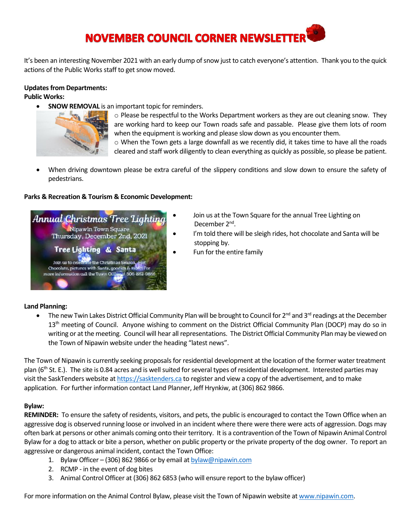# **NOVEMBER COUNCIL CORNER NEWSLETTER**

It's been an interesting November 2021 with an early dump of snow just to catch everyone's attention. Thank you to the quick actions of the Public Works staff to get snow moved.

#### **Updates from Departments:**

**Public Works:**

**SNOW REMOVAL** is an important topic for reminders.



 $\circ$  Please be respectful to the Works Department workers as they are out cleaning snow. They are working hard to keep our Town roads safe and passable. Please give them lots of room when the equipment is working and please slow down as you encounter them.  $\circ$  When the Town gets a large downfall as we recently did, it takes time to have all the roads cleared and staff work diligently to clean everything as quickly as possible, so please be patient.

• When driving downtown please be extra careful of the slippery conditions and slow down to ensure the safety of pedestrians.

#### **Parks & Recreation & Tourism & Economic Development:**



- Join us at the Town Square for the annual Tree Lighting on December 2<sup>nd</sup>.
	- I'm told there will be sleigh rides, hot chocolate and Santa will be stopping by.
	- Fun for the entire family

#### **Land Planning:**

The new Twin Lakes District Official Community Plan will be brought to Council for  $2^{nd}$  and  $3^{rd}$  readings at the December 13<sup>th</sup> meeting of Council. Anyone wishing to comment on the District Official Community Plan (DOCP) may do so in writing or at the meeting. Council will hear all representations. The District Official Community Plan may be viewed on the Town of Nipawin website under the heading "latest news".

The Town of Nipawin is currently seeking proposals for residential development at the location of the former water treatment plan (6<sup>th</sup> St. E.). The site is 0.84 acres and is well suited for several types of residential development. Interested parties may visit the SaskTenders website a[t https://sasktenders.ca](https://sasktenders.ca/) to register and view a copy of the advertisement, and to make application. For further information contact Land Planner, Jeff Hrynkiw, at (306) 862 9866.

#### **Bylaw:**

**REMINDER:** To ensure the safety of residents, visitors, and pets, the public is encouraged to contact the Town Office when an aggressive dog is observed running loose or involved in an incident where there were there were acts of aggression. Dogs may often bark at persons or other animals coming onto their territory. It is a contravention of the Town of Nipawin Animal Control Bylaw for a dog to attack or bite a person, whether on public property or the private property of the dog owner. To report an aggressive or dangerous animal incident, contact the Town Office:

- 1. Bylaw Officer (306) 862 9866 or by email a[t bylaw@nipawin.com](mailto:bylaw@nipawin.com)
- 2. RCMP in the event of dog bites
- 3. Animal Control Officer at (306) 862 6853 (who will ensure report to the bylaw officer)

For more information on the Animal Control Bylaw, please visit the Town of Nipawin website at [www.nipawin.com.](http://www.nipawin.com/)